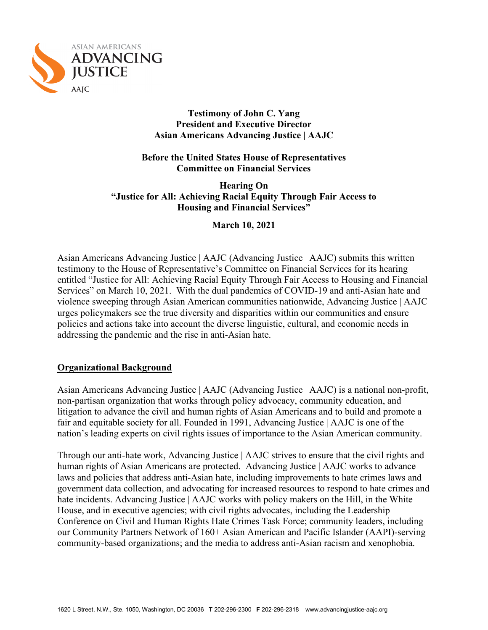

### **Testimony of John C. Yang President and Executive Director Asian Americans Advancing Justice | AAJC**

**Before the United States House of Representatives Committee on Financial Services**

**Hearing On "Justice for All: Achieving Racial Equity Through Fair Access to Housing and Financial Services"**

**March 10, 2021**

Asian Americans Advancing Justice | AAJC (Advancing Justice | AAJC) submits this written testimony to the House of Representative's Committee on Financial Services for its hearing entitled "Justice for All: Achieving Racial Equity Through Fair Access to Housing and Financial Services" on March 10, 2021. With the dual pandemics of COVID-19 and anti-Asian hate and violence sweeping through Asian American communities nationwide, Advancing Justice | AAJC urges policymakers see the true diversity and disparities within our communities and ensure policies and actions take into account the diverse linguistic, cultural, and economic needs in addressing the pandemic and the rise in anti-Asian hate.

## **Organizational Background**

Asian Americans Advancing Justice | AAJC (Advancing Justice | AAJC) is a national non-profit, non-partisan organization that works through policy advocacy, community education, and litigation to advance the civil and human rights of Asian Americans and to build and promote a fair and equitable society for all. Founded in 1991, Advancing Justice | AAJC is one of the nation's leading experts on civil rights issues of importance to the Asian American community.

Through our anti-hate work, Advancing Justice | AAJC strives to ensure that the civil rights and human rights of Asian Americans are protected. Advancing Justice | AAJC works to advance laws and policies that address anti-Asian hate, including improvements to hate crimes laws and government data collection, and advocating for increased resources to respond to hate crimes and hate incidents. Advancing Justice | AAJC works with policy makers on the Hill, in the White House, and in executive agencies; with civil rights advocates, including the Leadership Conference on Civil and Human Rights Hate Crimes Task Force; community leaders, including our Community Partners Network of 160+ Asian American and Pacific Islander (AAPI)-serving community-based organizations; and the media to address anti-Asian racism and xenophobia.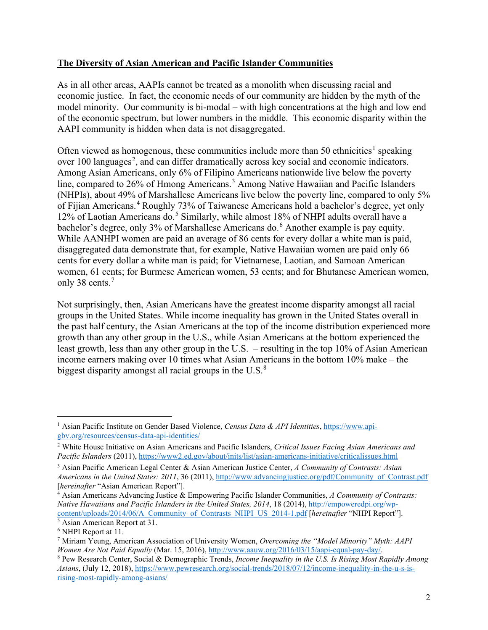# **The Diversity of Asian American and Pacific Islander Communities**

As in all other areas, AAPIs cannot be treated as a monolith when discussing racial and economic justice. In fact, the economic needs of our community are hidden by the myth of the model minority. Our community is bi-modal – with high concentrations at the high and low end of the economic spectrum, but lower numbers in the middle. This economic disparity within the AAPI community is hidden when data is not disaggregated.

Often viewed as homogenous, these communities include more than 50 ethnicities<sup>[1](#page-1-0)</sup> speaking over 100 languages<sup>[2](#page-1-1)</sup>, and can differ dramatically across key social and economic indicators. Among Asian Americans, only 6% of Filipino Americans nationwide live below the poverty line, compared to 26% of Hmong Americans.<sup>[3](#page-1-2)</sup> Among Native Hawaiian and Pacific Islanders (NHPIs), about 49% of Marshallese Americans live below the poverty line, compared to only 5% of Fijian Americans.[4](#page-1-3) Roughly 73% of Taiwanese Americans hold a bachelor's degree, yet only 12% of Laotian Americans do.<sup>[5](#page-1-4)</sup> Similarly, while almost 18% of NHPI adults overall have a bachelor's degree, only 3% of Marshallese Americans do.<sup>[6](#page-1-5)</sup> Another example is pay equity. While AANHPI women are paid an average of 86 cents for every dollar a white man is paid, disaggregated data demonstrate that, for example, Native Hawaiian women are paid only 66 cents for every dollar a white man is paid; for Vietnamese, Laotian, and Samoan American women, 61 cents; for Burmese American women, 53 cents; and for Bhutanese American women, only 38 cents.<sup>[7](#page-1-6)</sup>

Not surprisingly, then, Asian Americans have the greatest income disparity amongst all racial groups in the United States. While income inequality has grown in the United States overall in the past half century, the Asian Americans at the top of the income distribution experienced more growth than any other group in the U.S., while Asian Americans at the bottom experienced the least growth, less than any other group in the U.S. – resulting in the top 10% of Asian American income earners making over 10 times what Asian Americans in the bottom 10% make – the biggest disparity amongst all racial groups in the U.S. $^{8}$  $^{8}$  $^{8}$ 

<span id="page-1-0"></span><sup>&</sup>lt;sup>1</sup> Asian Pacific Institute on Gender Based Violence, *Census Data & API Identities*, [https://www.api](https://www.api-gbv.org/resources/census-data-api-identities/)[gbv.org/resources/census-data-api-identities/](https://www.api-gbv.org/resources/census-data-api-identities/)

<span id="page-1-1"></span><sup>2</sup> White House Initiative on Asian Americans and Pacific Islanders, *Critical Issues Facing Asian Americans and Pacific Islanders* (2011),<https://www2.ed.gov/about/inits/list/asian-americans-initiative/criticalissues.html>

<span id="page-1-2"></span><sup>3</sup> Asian Pacific American Legal Center & Asian American Justice Center, *A Community of Contrasts: Asian Americans in the United States: 2011*, 36 (2011), [http://www.advancingjustice.org/pdf/Community\\_of\\_Contrast.pdf](http://www.advancingjustice.org/pdf/Community_of_Contrast.pdf) [*hereinafter* "Asian American Report"].

<span id="page-1-3"></span><sup>4</sup> Asian Americans Advancing Justice & Empowering Pacific Islander Communities, *A Community of Contrasts: Native Hawaiians and Pacific Islanders in the United States, 2014*, 18 (2014), [http://empoweredpi.org/wp](http://empoweredpi.org/wp-content/uploads/2014/06/A_Community_of_Contrasts_NHPI_US_2014-1.pdf)[content/uploads/2014/06/A\\_Community\\_of\\_Contrasts\\_NHPI\\_US\\_2014-1.pdf](http://empoweredpi.org/wp-content/uploads/2014/06/A_Community_of_Contrasts_NHPI_US_2014-1.pdf) [*hereinafter* "NHPI Report"]. <sup>5</sup> Asian American Report at 31.

<span id="page-1-5"></span><span id="page-1-4"></span><sup>6</sup> NHPI Report at 11.

<span id="page-1-6"></span><sup>7</sup> Miriam Yeung, American Association of University Women, *Overcoming the "Model Minority" Myth: AAPI* 

<span id="page-1-7"></span><sup>&</sup>lt;sup>8</sup> Pew Research Center, Social & Demographic Trends, *Income Inequality in the U.S. Is Rising Most Rapidly Among Asians*, (July 12, 2018)[, https://www.pewresearch.org/social-trends/2018/07/12/income-inequality-in-the-u-s-is](https://www.pewresearch.org/social-trends/2018/07/12/income-inequality-in-the-u-s-is-rising-most-rapidly-among-asians/)[rising-most-rapidly-among-asians/](https://www.pewresearch.org/social-trends/2018/07/12/income-inequality-in-the-u-s-is-rising-most-rapidly-among-asians/)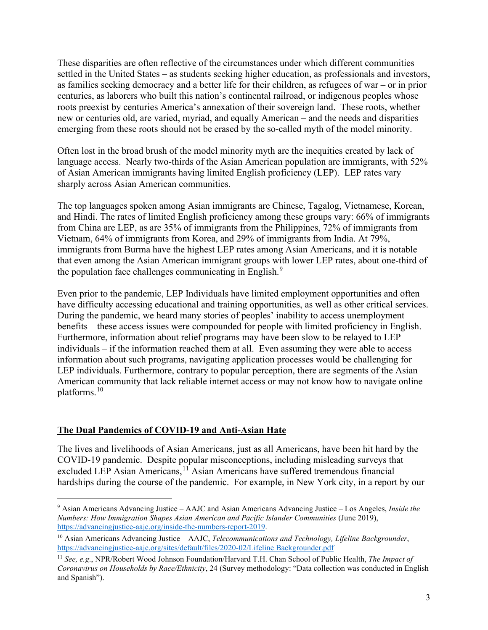These disparities are often reflective of the circumstances under which different communities settled in the United States – as students seeking higher education, as professionals and investors, as families seeking democracy and a better life for their children, as refugees of war – or in prior centuries, as laborers who built this nation's continental railroad, or indigenous peoples whose roots preexist by centuries America's annexation of their sovereign land. These roots, whether new or centuries old, are varied, myriad, and equally American – and the needs and disparities emerging from these roots should not be erased by the so-called myth of the model minority.

Often lost in the broad brush of the model minority myth are the inequities created by lack of language access. Nearly two-thirds of the Asian American population are immigrants, with 52% of Asian American immigrants having limited English proficiency (LEP). LEP rates vary sharply across Asian American communities.

The top languages spoken among Asian immigrants are Chinese, Tagalog, Vietnamese, Korean, and Hindi. The rates of limited English proficiency among these groups vary: 66% of immigrants from China are LEP, as are 35% of immigrants from the Philippines, 72% of immigrants from Vietnam, 64% of immigrants from Korea, and 29% of immigrants from India. At 79%, immigrants from Burma have the highest LEP rates among Asian Americans, and it is notable that even among the Asian American immigrant groups with lower LEP rates, about one-third of the population face challenges communicating in English.<sup>[9](#page-2-0)</sup>

Even prior to the pandemic, LEP Individuals have limited employment opportunities and often have difficulty accessing educational and training opportunities, as well as other critical services. During the pandemic, we heard many stories of peoples' inability to access unemployment benefits – these access issues were compounded for people with limited proficiency in English. Furthermore, information about relief programs may have been slow to be relayed to LEP individuals – if the information reached them at all. Even assuming they were able to access information about such programs, navigating application processes would be challenging for LEP individuals. Furthermore, contrary to popular perception, there are segments of the Asian American community that lack reliable internet access or may not know how to navigate online platforms.[10](#page-2-1)

## **The Dual Pandemics of COVID-19 and Anti-Asian Hate**

The lives and livelihoods of Asian Americans, just as all Americans, have been hit hard by the COVID-19 pandemic. Despite popular misconceptions, including misleading surveys that excluded LEP Asian Americans,<sup>[11](#page-2-2)</sup> Asian Americans have suffered tremendous financial hardships during the course of the pandemic. For example, in New York city, in a report by our

<span id="page-2-0"></span><sup>9</sup> Asian Americans Advancing Justice – AAJC and Asian Americans Advancing Justice – Los Angeles, *Inside the Numbers: How Immigration Shapes Asian American and Pacific Islander Communities* (June 2019), [https://advancingjustice-aajc.org/inside-the-numbers-report-2019.](https://advancingjustice-aajc.org/inside-the-numbers-report-2019)

<span id="page-2-1"></span><sup>10</sup> Asian Americans Advancing Justice – AAJC, *Telecommunications and Technology, Lifeline Backgrounder*, [https://advancingjustice-aajc.org/sites/default/files/2020-02/Lifeline Backgrounder.pdf](https://advancingjustice-aajc.org/sites/default/files/2020-02/Lifeline%20Backgrounder.pdf)

<span id="page-2-2"></span><sup>11</sup> *See, e.g*., NPR/Robert Wood Johnson Foundation/Harvard T.H. Chan School of Public Health, *The Impact of Coronavirus on Households by Race/Ethnicity*, 24 (Survey methodology: "Data collection was conducted in English and Spanish").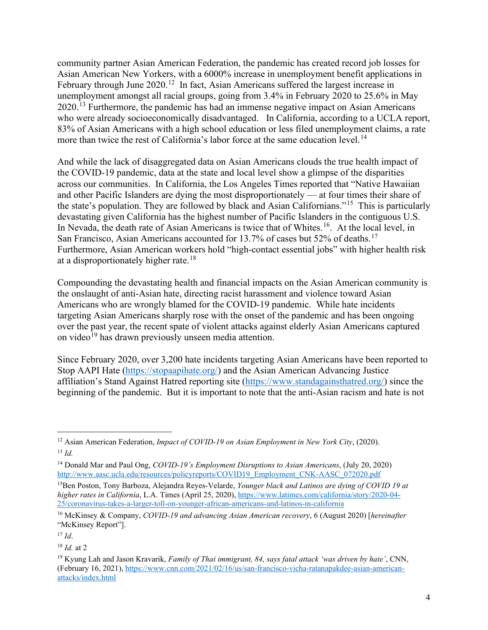community partner Asian American Federation, the pandemic has created record job losses for Asian American New Yorkers, with a 6000% increase in unemployment benefit applications in February through June  $2020$ .<sup>[12](#page-3-0)</sup> In fact, Asian Americans suffered the largest increase in unemployment amongst all racial groups, going from 3.4% in February 2020 to 25.6% in May 2020.[13](#page-3-1) Furthermore, the pandemic has had an immense negative impact on Asian Americans who were already socioeconomically disadvantaged. In California, according to a UCLA report, 83% of Asian Americans with a high school education or less filed unemployment claims, a rate more than twice the rest of California's labor force at the same education level.<sup>[14](#page-3-2)</sup>

And while the lack of disaggregated data on Asian Americans clouds the true health impact of the COVID-19 pandemic, data at the state and local level show a glimpse of the disparities across our communities. In California, the Los Angeles Times reported that "Native Hawaiian and other Pacific Islanders are dying the most disproportionately — at four times their share of the state's population. They are followed by black and Asian Californians."[15](#page-3-3) This is particularly devastating given California has the highest number of Pacific Islanders in the contiguous U.S. In Nevada, the death rate of Asian Americans is twice that of Whites.<sup>16</sup>. At the local level, in San Francisco, Asian Americans accounted for 13.7% of cases but 52% of deaths.<sup>[17](#page-3-5)</sup> Furthermore, Asian American workers hold "high-contact essential jobs" with higher health risk at a disproportionately higher rate.<sup>[18](#page-3-6)</sup>

Compounding the devastating health and financial impacts on the Asian American community is the onslaught of anti-Asian hate, directing racist harassment and violence toward Asian Americans who are wrongly blamed for the COVID-19 pandemic. While hate incidents targeting Asian Americans sharply rose with the onset of the pandemic and has been ongoing over the past year, the recent spate of violent attacks against elderly Asian Americans captured on video<sup>[19](#page-3-7)</sup> has drawn previously unseen media attention.

Since February 2020, over 3,200 hate incidents targeting Asian Americans have been reported to Stop AAPI Hate [\(https://stopaapihate.org/\)](https://stopaapihate.org/) and the Asian American Advancing Justice affiliation's Stand Against Hatred reporting site [\(https://www.standagainsthatred.org/\)](https://www.standagainsthatred.org/) since the beginning of the pandemic. But it is important to note that the anti-Asian racism and hate is not

<span id="page-3-0"></span><sup>12</sup> Asian American Federation, *Impact of COVID-19 on Asian Employment in New York City*, (2020). <sup>13</sup> *Id.*

<span id="page-3-2"></span><span id="page-3-1"></span><sup>14</sup> Donald Mar and Paul Ong, *COVID-19's Employment Disruptions to Asian Americans*, (July 20, 2020) [http://www.aasc.ucla.edu/resources/policyreports/COVID19\\_Employment\\_CNK-AASC\\_072020.pdf](http://www.aasc.ucla.edu/resources/policyreports/COVID19_Employment_CNK-AASC_072020.pdf)

<span id="page-3-3"></span><sup>15</sup>Ben Poston, Tony Barboza, Alejandra Reyes-Velarde, *Younger black and Latinos are dying of COVID 19 at higher rates in California*, L.A. Times (April 25, 2020), [https://www.latimes.com/california/story/2020-04-](https://www.latimes.com/california/story/2020-04-25/coronavirus-takes-a-larger-toll-on-younger-african-americans-and-latinos-in-california) [25/coronavirus-takes-a-larger-toll-on-younger-african-americans-and-latinos-in-california](https://www.latimes.com/california/story/2020-04-25/coronavirus-takes-a-larger-toll-on-younger-african-americans-and-latinos-in-california)

<span id="page-3-4"></span><sup>16</sup> McKinsey & Company, *COVID-19 and advancing Asian American recovery*, 6 (August 2020) [*hereinafter* "McKinsey Report"].

<span id="page-3-5"></span><sup>17</sup> *Id*.

<span id="page-3-6"></span><sup>18</sup> *Id.* at 2

<span id="page-3-7"></span><sup>19</sup> Kyung Lah and Jason Kravarik, *Family of Thai immigrant, 84, says fatal attack 'was driven by hate'*, CNN, (February 16, 2021), [https://www.cnn.com/2021/02/16/us/san-francisco-vicha-ratanapakdee-asian-american](https://www.cnn.com/2021/02/16/us/san-francisco-vicha-ratanapakdee-asian-american-attacks/index.html)[attacks/index.html](https://www.cnn.com/2021/02/16/us/san-francisco-vicha-ratanapakdee-asian-american-attacks/index.html)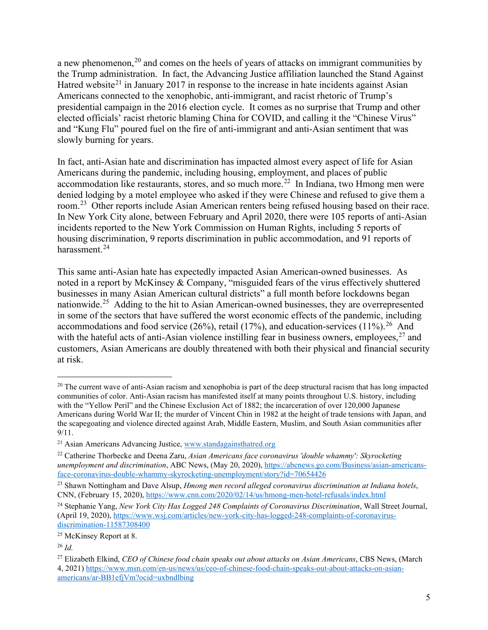a new phenomenon,<sup>[20](#page-4-0)</sup> and comes on the heels of years of attacks on immigrant communities by the Trump administration. In fact, the Advancing Justice affiliation launched the Stand Against Hatred website<sup>[21](#page-4-1)</sup> in January 2017 in response to the increase in hate incidents against Asian Americans connected to the xenophobic, anti-immigrant, and racist rhetoric of Trump's presidential campaign in the 2016 election cycle. It comes as no surprise that Trump and other elected officials' racist rhetoric blaming China for COVID, and calling it the "Chinese Virus" and "Kung Flu" poured fuel on the fire of anti-immigrant and anti-Asian sentiment that was slowly burning for years.

In fact, anti-Asian hate and discrimination has impacted almost every aspect of life for Asian Americans during the pandemic, including housing, employment, and places of public accommodation like restaurants, stores, and so much more.<sup>22</sup> In Indiana, two Hmong men were denied lodging by a motel employee who asked if they were Chinese and refused to give them a room.<sup>23</sup> Other reports include Asian American renters being refused housing based on their race. In New York City alone, between February and April 2020, there were 105 reports of anti-Asian incidents reported to the New York Commission on Human Rights, including 5 reports of housing discrimination, 9 reports discrimination in public accommodation, and 91 reports of harassment.<sup>[24](#page-4-4)</sup>

This same anti-Asian hate has expectedly impacted Asian American-owned businesses. As noted in a report by McKinsey & Company, "misguided fears of the virus effectively shuttered businesses in many Asian American cultural districts" a full month before lockdowns began nationwide.<sup>[25](#page-4-5)</sup> Adding to the hit to Asian American-owned businesses, they are overrepresented in some of the sectors that have suffered the worst economic effects of the pandemic, including accommodations and food service ([26](#page-4-6)%), retail (17%), and education-services (11%).<sup>26</sup> And with the hateful acts of anti-Asian violence instilling fear in business owners, employees,  $27$  and customers, Asian Americans are doubly threatened with both their physical and financial security at risk.

<span id="page-4-0"></span> $20$  The current wave of anti-Asian racism and xenophobia is part of the deep structural racism that has long impacted communities of color. Anti-Asian racism has manifested itself at many points throughout U.S. history, including with the "Yellow Peril" and the Chinese Exclusion Act of 1882; the incarceration of over 120,000 Japanese Americans during World War II; the murder of Vincent Chin in 1982 at the height of trade tensions with Japan, and the scapegoating and violence directed against Arab, Middle Eastern, Muslim, and South Asian communities after 9/11.

<span id="page-4-1"></span><sup>&</sup>lt;sup>21</sup> Asian Americans Advancing Justice, [www.standagainsthatred.org](http://www.standagainsthatred.org/)

<span id="page-4-2"></span><sup>22</sup> Catherine Thorbecke and Deena Zaru, *Asian Americans face coronavirus 'double whammy': Skyrocketing unemployment and discrimination*, ABC News, (May 20, 2020), [https://abcnews.go.com/Business/asian-americans](https://abcnews.go.com/Business/asian-americans-face-coronavirus-double-whammy-skyrocketing-unemployment/story?id=70654426)[face-coronavirus-double-whammy-skyrocketing-unemployment/story?id=70654426](https://abcnews.go.com/Business/asian-americans-face-coronavirus-double-whammy-skyrocketing-unemployment/story?id=70654426)

<span id="page-4-3"></span><sup>23</sup> Shawn Nottingham and Dave Alsup, *Hmong men record alleged coronavirus discrimination at Indiana hotels*, CNN, (February 15, 2020),<https://www.cnn.com/2020/02/14/us/hmong-men-hotel-refusals/index.html>

<span id="page-4-4"></span><sup>24</sup> Stephanie Yang, *New York City Has Logged 248 Complaints of Coronavirus Discrimination*, Wall Street Journal, (April 19, 2020), [https://www.wsj.com/articles/new-york-city-has-logged-248-complaints-of-coronavirus](https://www.wsj.com/articles/new-york-city-has-logged-248-complaints-of-coronavirus-discrimination-11587308400)[discrimination-11587308400](https://www.wsj.com/articles/new-york-city-has-logged-248-complaints-of-coronavirus-discrimination-11587308400)

<span id="page-4-5"></span><sup>&</sup>lt;sup>25</sup> McKinsey Report at 8.

<span id="page-4-6"></span><sup>26</sup> *Id.*

<span id="page-4-7"></span><sup>27</sup> Elizabeth Elkind, *CEO of Chinese food chain speaks out about attacks on Asian Americans*, CBS News, (March 4, 2021) [https://www.msn.com/en-us/news/us/ceo-of-chinese-food-chain-speaks-out-about-attacks-on-asian](https://www.msn.com/en-us/news/us/ceo-of-chinese-food-chain-speaks-out-about-attacks-on-asian-americans/ar-BB1efjVm?ocid=uxbndlbing)[americans/ar-BB1efjVm?ocid=uxbndlbing](https://www.msn.com/en-us/news/us/ceo-of-chinese-food-chain-speaks-out-about-attacks-on-asian-americans/ar-BB1efjVm?ocid=uxbndlbing)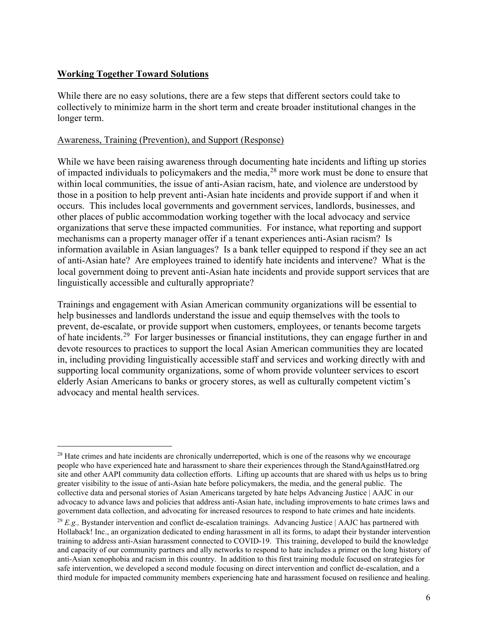# **Working Together Toward Solutions**

While there are no easy solutions, there are a few steps that different sectors could take to collectively to minimize harm in the short term and create broader institutional changes in the longer term.

### Awareness, Training (Prevention), and Support (Response)

While we have been raising awareness through documenting hate incidents and lifting up stories of impacted individuals to policymakers and the media, <sup>[28](#page-5-0)</sup> more work must be done to ensure that within local communities, the issue of anti-Asian racism, hate, and violence are understood by those in a position to help prevent anti-Asian hate incidents and provide support if and when it occurs. This includes local governments and government services, landlords, businesses, and other places of public accommodation working together with the local advocacy and service organizations that serve these impacted communities. For instance, what reporting and support mechanisms can a property manager offer if a tenant experiences anti-Asian racism? Is information available in Asian languages? Is a bank teller equipped to respond if they see an act of anti-Asian hate? Are employees trained to identify hate incidents and intervene? What is the local government doing to prevent anti-Asian hate incidents and provide support services that are linguistically accessible and culturally appropriate?

Trainings and engagement with Asian American community organizations will be essential to help businesses and landlords understand the issue and equip themselves with the tools to prevent, de-escalate, or provide support when customers, employees, or tenants become targets of hate incidents.[29](#page-5-1) For larger businesses or financial institutions, they can engage further in and devote resources to practices to support the local Asian American communities they are located in, including providing linguistically accessible staff and services and working directly with and supporting local community organizations, some of whom provide volunteer services to escort elderly Asian Americans to banks or grocery stores, as well as culturally competent victim's advocacy and mental health services.

<span id="page-5-0"></span><sup>&</sup>lt;sup>28</sup> Hate crimes and hate incidents are chronically underreported, which is one of the reasons why we encourage people who have experienced hate and harassment to share their experiences through the StandAgainstHatred.org site and other AAPI community data collection efforts. Lifting up accounts that are shared with us helps us to bring greater visibility to the issue of anti-Asian hate before policymakers, the media, and the general public. The collective data and personal stories of Asian Americans targeted by hate helps Advancing Justice | AAJC in our advocacy to advance laws and policies that address anti-Asian hate, including improvements to hate crimes laws and government data collection, and advocating for increased resources to respond to hate crimes and hate incidents.

<span id="page-5-1"></span><sup>29</sup> *E.g.,* Bystander intervention and conflict de-escalation trainings. Advancing Justice | AAJC has partnered with Hollaback! Inc., an organization dedicated to ending harassment in all its forms, to adapt their bystander intervention training to address anti-Asian harassment connected to COVID-19. This training, developed to build the knowledge and capacity of our community partners and ally networks to respond to hate includes a primer on the long history of anti-Asian xenophobia and racism in this country. In addition to this first training module focused on strategies for safe intervention, we developed a second module focusing on direct intervention and conflict de-escalation, and a third module for impacted community members experiencing hate and harassment focused on resilience and healing.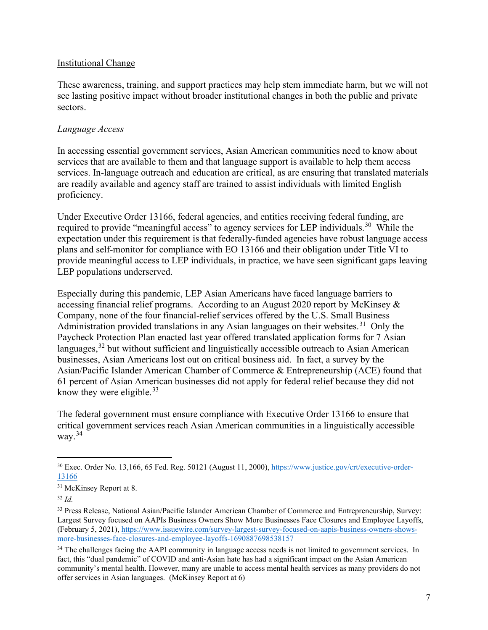#### Institutional Change

These awareness, training, and support practices may help stem immediate harm, but we will not see lasting positive impact without broader institutional changes in both the public and private sectors.

### *Language Access*

In accessing essential government services, Asian American communities need to know about services that are available to them and that language support is available to help them access services. In-language outreach and education are critical, as are ensuring that translated materials are readily available and agency staff are trained to assist individuals with limited English proficiency.

Under Executive Order 13166, federal agencies, and entities receiving federal funding, are required to provide "meaningful access" to agency services for LEP individuals.<sup>[30](#page-6-0)</sup> While the expectation under this requirement is that federally-funded agencies have robust language access plans and self-monitor for compliance with EO 13166 and their obligation under Title VI to provide meaningful access to LEP individuals, in practice, we have seen significant gaps leaving LEP populations underserved.

Especially during this pandemic, LEP Asian Americans have faced language barriers to accessing financial relief programs. According to an August 2020 report by McKinsey & Company, none of the four financial-relief services offered by the U.S. Small Business Administration provided translations in any Asian languages on their websites.<sup>[31](#page-6-1)</sup> Only the Paycheck Protection Plan enacted last year offered translated application forms for 7 Asian languages,<sup>[32](#page-6-2)</sup> but without sufficient and linguistically accessible outreach to Asian American businesses, Asian Americans lost out on critical business aid. In fact, a survey by the Asian/Pacific Islander American Chamber of Commerce & Entrepreneurship (ACE) found that 61 percent of Asian American businesses did not apply for federal relief because they did not know they were eligible. $33$ 

The federal government must ensure compliance with Executive Order 13166 to ensure that critical government services reach Asian American communities in a linguistically accessible way. $34$ 

<span id="page-6-0"></span><sup>&</sup>lt;sup>30</sup> Exec. Order No. 13,166, 65 Fed. Reg. 50121 (August 11, 2000), [https://www.justice.gov/crt/executive-order-](https://www.justice.gov/crt/executive-order-13166)[13166](https://www.justice.gov/crt/executive-order-13166)

<span id="page-6-1"></span><sup>&</sup>lt;sup>31</sup> McKinsey Report at 8.

<span id="page-6-2"></span><sup>32</sup> *Id.*

<span id="page-6-3"></span><sup>33</sup> Press Release, National Asian/Pacific Islander American Chamber of Commerce and Entrepreneurship, Survey: Largest Survey focused on AAPIs Business Owners Show More Businesses Face Closures and Employee Layoffs, (February 5, 2021), [https://www.issuewire.com/survey-largest-survey-focused-on-aapis-business-owners-shows](https://www.issuewire.com/survey-largest-survey-focused-on-aapis-business-owners-shows-more-businesses-face-closures-and-employee-layoffs-1690887698538157)[more-businesses-face-closures-and-employee-layoffs-1690887698538157](https://www.issuewire.com/survey-largest-survey-focused-on-aapis-business-owners-shows-more-businesses-face-closures-and-employee-layoffs-1690887698538157)

<span id="page-6-4"></span><sup>&</sup>lt;sup>34</sup> The challenges facing the AAPI community in language access needs is not limited to government services. In fact, this "dual pandemic" of COVID and anti-Asian hate has had a significant impact on the Asian American community's mental health. However, many are unable to access mental health services as many providers do not offer services in Asian languages. (McKinsey Report at 6)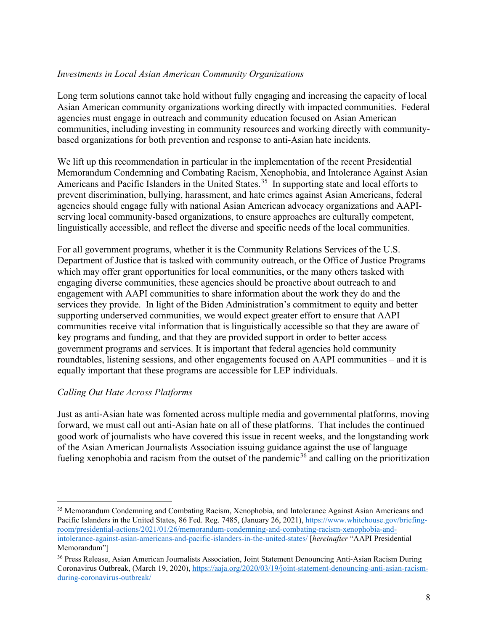# *Investments in Local Asian American Community Organizations*

Long term solutions cannot take hold without fully engaging and increasing the capacity of local Asian American community organizations working directly with impacted communities. Federal agencies must engage in outreach and community education focused on Asian American communities, including investing in community resources and working directly with communitybased organizations for both prevention and response to anti-Asian hate incidents.

We lift up this recommendation in particular in the implementation of the recent Presidential Memorandum Condemning and Combating Racism, Xenophobia, and Intolerance Against Asian Americans and Pacific Islanders in the United States.<sup>[35](#page-7-0)</sup> In supporting state and local efforts to prevent discrimination, bullying, harassment, and hate crimes against Asian Americans, federal agencies should engage fully with national Asian American advocacy organizations and AAPIserving local community-based organizations, to ensure approaches are culturally competent, linguistically accessible, and reflect the diverse and specific needs of the local communities.

For all government programs, whether it is the Community Relations Services of the U.S. Department of Justice that is tasked with community outreach, or the Office of Justice Programs which may offer grant opportunities for local communities, or the many others tasked with engaging diverse communities, these agencies should be proactive about outreach to and engagement with AAPI communities to share information about the work they do and the services they provide. In light of the Biden Administration's commitment to equity and better supporting underserved communities, we would expect greater effort to ensure that AAPI communities receive vital information that is linguistically accessible so that they are aware of key programs and funding, and that they are provided support in order to better access government programs and services. It is important that federal agencies hold community roundtables, listening sessions, and other engagements focused on AAPI communities – and it is equally important that these programs are accessible for LEP individuals.

## *Calling Out Hate Across Platforms*

Just as anti-Asian hate was fomented across multiple media and governmental platforms, moving forward, we must call out anti-Asian hate on all of these platforms. That includes the continued good work of journalists who have covered this issue in recent weeks, and the longstanding work of the Asian American Journalists Association issuing guidance against the use of language fueling xenophobia and racism from the outset of the pandemic<sup>[36](#page-7-1)</sup> and calling on the prioritization

<span id="page-7-0"></span><sup>&</sup>lt;sup>35</sup> Memorandum Condemning and Combating Racism, Xenophobia, and Intolerance Against Asian Americans and Pacific Islanders in the United States, 86 Fed. Reg. 7485, (January 26, 2021), [https://www.whitehouse.gov/briefing](https://www.whitehouse.gov/briefing-room/presidential-actions/2021/01/26/memorandum-condemning-and-combating-racism-xenophobia-and-intolerance-against-asian-americans-and-pacific-islanders-in-the-united-states/)[room/presidential-actions/2021/01/26/memorandum-condemning-and-combating-racism-xenophobia-and](https://www.whitehouse.gov/briefing-room/presidential-actions/2021/01/26/memorandum-condemning-and-combating-racism-xenophobia-and-intolerance-against-asian-americans-and-pacific-islanders-in-the-united-states/)[intolerance-against-asian-americans-and-pacific-islanders-in-the-united-states/](https://www.whitehouse.gov/briefing-room/presidential-actions/2021/01/26/memorandum-condemning-and-combating-racism-xenophobia-and-intolerance-against-asian-americans-and-pacific-islanders-in-the-united-states/) [*hereinafter* "AAPI Presidential Memorandum"]

<span id="page-7-1"></span><sup>36</sup> Press Release, Asian American Journalists Association, Joint Statement Denouncing Anti-Asian Racism During Coronavirus Outbreak, (March 19, 2020)[, https://aaja.org/2020/03/19/joint-statement-denouncing-anti-asian-racism](https://aaja.org/2020/03/19/joint-statement-denouncing-anti-asian-racism-during-coronavirus-outbreak/)[during-coronavirus-outbreak/](https://aaja.org/2020/03/19/joint-statement-denouncing-anti-asian-racism-during-coronavirus-outbreak/)